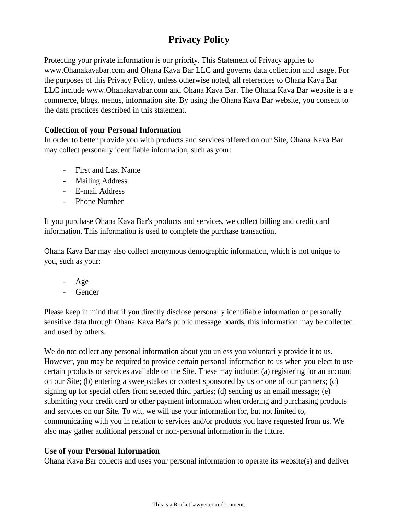# **Privacy Policy**

Protecting your private information is our priority. This Statement of Privacy applies to www.Ohanakavabar.com and Ohana Kava Bar LLC and governs data collection and usage. For the purposes of this Privacy Policy, unless otherwise noted, all references to Ohana Kava Bar LLC include www.Ohanakavabar.com and Ohana Kava Bar. The Ohana Kava Bar website is a e commerce, blogs, menus, information site. By using the Ohana Kava Bar website, you consent to the data practices described in this statement.

# **Collection of your Personal Information**

In order to better provide you with products and services offered on our Site, Ohana Kava Bar may collect personally identifiable information, such as your:

- First and Last Name
- Mailing Address
- E-mail Address
- Phone Number

If you purchase Ohana Kava Bar's products and services, we collect billing and credit card information. This information is used to complete the purchase transaction.

Ohana Kava Bar may also collect anonymous demographic information, which is not unique to you, such as your:

- Age
- Gender

Please keep in mind that if you directly disclose personally identifiable information or personally sensitive data through Ohana Kava Bar's public message boards, this information may be collected and used by others.

We do not collect any personal information about you unless you voluntarily provide it to us. However, you may be required to provide certain personal information to us when you elect to use certain products or services available on the Site. These may include: (a) registering for an account on our Site; (b) entering a sweepstakes or contest sponsored by us or one of our partners; (c) signing up for special offers from selected third parties; (d) sending us an email message; (e) submitting your credit card or other payment information when ordering and purchasing products and services on our Site. To wit, we will use your information for, but not limited to, communicating with you in relation to services and/or products you have requested from us. We also may gather additional personal or non-personal information in the future.

# **Use of your Personal Information**

Ohana Kava Bar collects and uses your personal information to operate its website(s) and deliver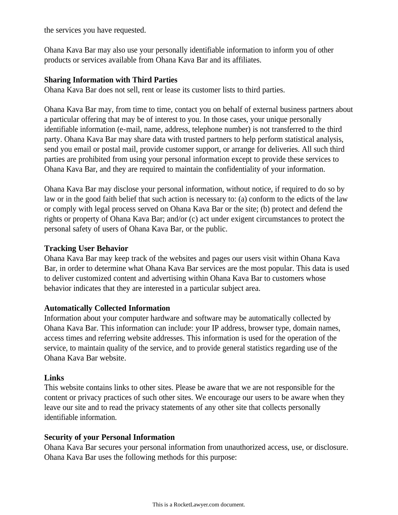the services you have requested.

Ohana Kava Bar may also use your personally identifiable information to inform you of other products or services available from Ohana Kava Bar and its affiliates.

### **Sharing Information with Third Parties**

Ohana Kava Bar does not sell, rent or lease its customer lists to third parties.

Ohana Kava Bar may, from time to time, contact you on behalf of external business partners about a particular offering that may be of interest to you. In those cases, your unique personally identifiable information (e-mail, name, address, telephone number) is not transferred to the third party. Ohana Kava Bar may share data with trusted partners to help perform statistical analysis, send you email or postal mail, provide customer support, or arrange for deliveries. All such third parties are prohibited from using your personal information except to provide these services to Ohana Kava Bar, and they are required to maintain the confidentiality of your information.

Ohana Kava Bar may disclose your personal information, without notice, if required to do so by law or in the good faith belief that such action is necessary to: (a) conform to the edicts of the law or comply with legal process served on Ohana Kava Bar or the site; (b) protect and defend the rights or property of Ohana Kava Bar; and/or (c) act under exigent circumstances to protect the personal safety of users of Ohana Kava Bar, or the public.

## **Tracking User Behavior**

Ohana Kava Bar may keep track of the websites and pages our users visit within Ohana Kava Bar, in order to determine what Ohana Kava Bar services are the most popular. This data is used to deliver customized content and advertising within Ohana Kava Bar to customers whose behavior indicates that they are interested in a particular subject area.

### **Automatically Collected Information**

Information about your computer hardware and software may be automatically collected by Ohana Kava Bar. This information can include: your IP address, browser type, domain names, access times and referring website addresses. This information is used for the operation of the service, to maintain quality of the service, and to provide general statistics regarding use of the Ohana Kava Bar website.

### **Links**

This website contains links to other sites. Please be aware that we are not responsible for the content or privacy practices of such other sites. We encourage our users to be aware when they leave our site and to read the privacy statements of any other site that collects personally identifiable information.

# **Security of your Personal Information**

Ohana Kava Bar secures your personal information from unauthorized access, use, or disclosure. Ohana Kava Bar uses the following methods for this purpose: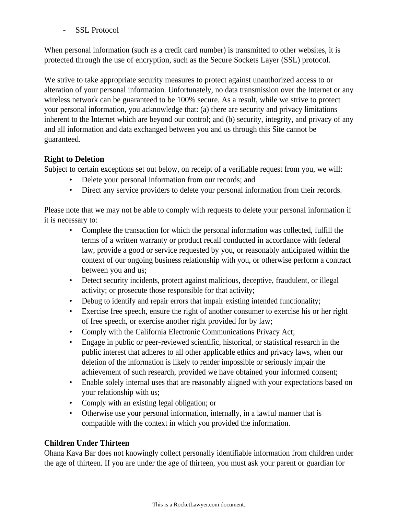SSL Protocol

When personal information (such as a credit card number) is transmitted to other websites, it is protected through the use of encryption, such as the Secure Sockets Layer (SSL) protocol.

We strive to take appropriate security measures to protect against unauthorized access to or alteration of your personal information. Unfortunately, no data transmission over the Internet or any wireless network can be guaranteed to be 100% secure. As a result, while we strive to protect your personal information, you acknowledge that: (a) there are security and privacy limitations inherent to the Internet which are beyond our control; and (b) security, integrity, and privacy of any and all information and data exchanged between you and us through this Site cannot be guaranteed.

# **Right to Deletion**

Subject to certain exceptions set out below, on receipt of a verifiable request from you, we will:

- Delete your personal information from our records; and
- Direct any service providers to delete your personal information from their records.

Please note that we may not be able to comply with requests to delete your personal information if it is necessary to:

- Complete the transaction for which the personal information was collected, fulfill the terms of a written warranty or product recall conducted in accordance with federal law, provide a good or service requested by you, or reasonably anticipated within the context of our ongoing business relationship with you, or otherwise perform a contract between you and us;
- Detect security incidents, protect against malicious, deceptive, fraudulent, or illegal activity; or prosecute those responsible for that activity;
- Debug to identify and repair errors that impair existing intended functionality;
- Exercise free speech, ensure the right of another consumer to exercise his or her right of free speech, or exercise another right provided for by law;
- Comply with the California Electronic Communications Privacy Act;
- Engage in public or peer-reviewed scientific, historical, or statistical research in the public interest that adheres to all other applicable ethics and privacy laws, when our deletion of the information is likely to render impossible or seriously impair the achievement of such research, provided we have obtained your informed consent;
- Enable solely internal uses that are reasonably aligned with your expectations based on your relationship with us;
- Comply with an existing legal obligation; or
- Otherwise use your personal information, internally, in a lawful manner that is compatible with the context in which you provided the information.

# **Children Under Thirteen**

Ohana Kava Bar does not knowingly collect personally identifiable information from children under the age of thirteen. If you are under the age of thirteen, you must ask your parent or guardian for